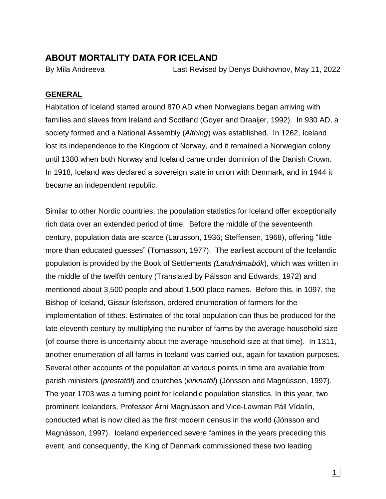## **ABOUT MORTALITY DATA FOR ICELAND**

By Mila Andreeva Last Revised by Denys Dukhovnov, May 11, 2022

#### **GENERAL**

Habitation of Iceland started around 870 AD when Norwegians began arriving with families and slaves from Ireland and Scotland (Goyer and Draaijer, 1992). In 930 AD, a society formed and a National Assembly (*Althing*) was established. In 1262, Iceland lost its independence to the Kingdom of Norway, and it remained a Norwegian colony until 1380 when both Norway and Iceland came under dominion of the Danish Crown. In 1918, Iceland was declared a sovereign state in union with Denmark, and in 1944 it became an independent republic.

Similar to other Nordic countries, the population statistics for Iceland offer exceptionally rich data over an extended period of time. Before the middle of the seventeenth century, population data are scarce (Larusson, 1936; Steffensen, 1968), offering "little more than educated guesses" (Tomasson, 1977). The earliest account of the Icelandic population is provided by the Book of Settlements *(Landnámabók*), which was written in the middle of the twelfth century (Translated by Pálsson and Edwards, 1972) and mentioned about 3,500 people and about 1,500 place names. Before this, in 1097, the Bishop of Iceland, Gissur Ísleifsson, ordered enumeration of farmers for the implementation of tithes. Estimates of the total population can thus be produced for the late eleventh century by multiplying the number of farms by the average household size (of course there is uncertainty about the average household size at that time). In 1311, another enumeration of all farms in Iceland was carried out, again for taxation purposes. Several other accounts of the population at various points in time are available from parish ministers (*prestatöl*) and churches (*kirknatöl*) (Jónsson and Magnússon, 1997). The year 1703 was a turning point for Icelandic population statistics. In this year, two prominent Icelanders, Professor Árni Magnússon and Vice-Lawman Páll Vídalín, conducted what is now cited as the first modern census in the world (Jónsson and Magnússon, 1997). Iceland experienced severe famines in the years preceding this event, and consequently, the King of Denmark commissioned these two leading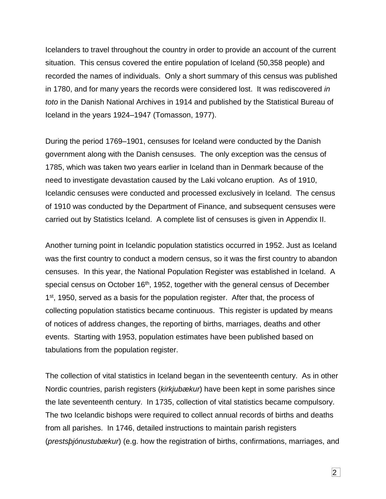Icelanders to travel throughout the country in order to provide an account of the current situation. This census covered the entire population of Iceland (50,358 people) and recorded the names of individuals. Only a short summary of this census was published in 1780, and for many years the records were considered lost. It was rediscovered *in toto* in the Danish National Archives in 1914 and published by the Statistical Bureau of Iceland in the years 1924–1947 (Tomasson, 1977).

During the period 1769–1901, censuses for Iceland were conducted by the Danish government along with the Danish censuses. The only exception was the census of 1785, which was taken two years earlier in Iceland than in Denmark because of the need to investigate devastation caused by the Laki volcano eruption. As of 1910, Icelandic censuses were conducted and processed exclusively in Iceland. The census of 1910 was conducted by the Department of Finance, and subsequent censuses were carried out by Statistics Iceland. A complete list of censuses is given in Appendix II.

Another turning point in Icelandic population statistics occurred in 1952. Just as Iceland was the first country to conduct a modern census, so it was the first country to abandon censuses. In this year, the National Population Register was established in Iceland. A special census on October 16<sup>th</sup>, 1952, together with the general census of December 1<sup>st</sup>, 1950, served as a basis for the population register. After that, the process of collecting population statistics became continuous. This register is updated by means of notices of address changes, the reporting of births, marriages, deaths and other events. Starting with 1953, population estimates have been published based on tabulations from the population register.

The collection of vital statistics in Iceland began in the seventeenth century. As in other Nordic countries, parish registers (*kirkjubækur*) have been kept in some parishes since the late seventeenth century. In 1735, collection of vital statistics became compulsory. The two Icelandic bishops were required to collect annual records of births and deaths from all parishes. In 1746, detailed instructions to maintain parish registers (*prestsþjónustubækur*) (e.g. how the registration of births, confirmations, marriages, and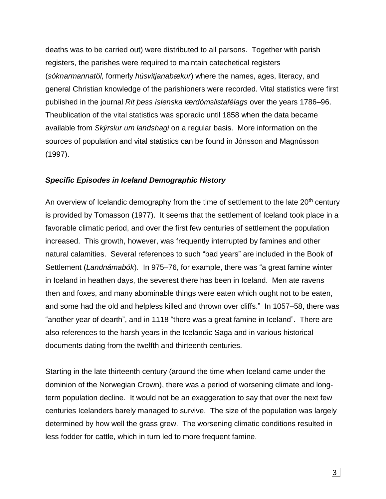deaths was to be carried out) were distributed to all parsons. Together with parish registers, the parishes were required to maintain catechetical registers (*sóknarmannatöl,* formerly *húsvitjanabækur*) where the names, ages, literacy, and general Christian knowledge of the parishioners were recorded. Vital statistics were first published in the journal *Rit þess íslenska lærdómslistafélags* over the years 1786–96. Theublication of the vital statistics was sporadic until 1858 when the data became available from *Skýrslur um landshagi* on a regular basis. More information on the sources of population and vital statistics can be found in Jónsson and Magnússon (1997).

#### *Specific Episodes in Iceland Demographic History*

An overview of Icelandic demography from the time of settlement to the late 20<sup>th</sup> century is provided by Tomasson (1977). It seems that the settlement of Iceland took place in a favorable climatic period, and over the first few centuries of settlement the population increased. This growth, however, was frequently interrupted by famines and other natural calamities. Several references to such "bad years" are included in the Book of Settlement (*Landnámabók*). In 975–76, for example, there was "a great famine winter in Iceland in heathen days, the severest there has been in Iceland. Men ate ravens then and foxes, and many abominable things were eaten which ought not to be eaten, and some had the old and helpless killed and thrown over cliffs." In 1057–58, there was "another year of dearth", and in 1118 "there was a great famine in Iceland". There are also references to the harsh years in the Icelandic Saga and in various historical documents dating from the twelfth and thirteenth centuries.

Starting in the late thirteenth century (around the time when Iceland came under the dominion of the Norwegian Crown), there was a period of worsening climate and longterm population decline. It would not be an exaggeration to say that over the next few centuries Icelanders barely managed to survive. The size of the population was largely determined by how well the grass grew. The worsening climatic conditions resulted in less fodder for cattle, which in turn led to more frequent famine.

 $|3|$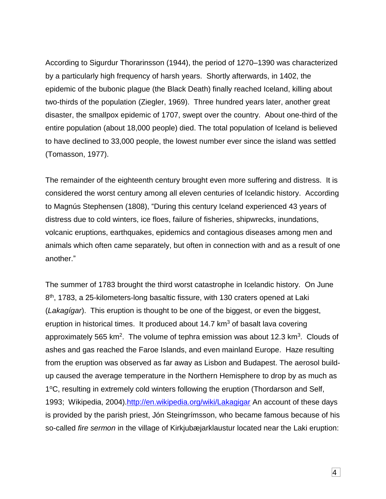According to Sigurdur Thorarinsson (1944), the period of 1270–1390 was characterized by a particularly high frequency of harsh years. Shortly afterwards, in 1402, the epidemic of the bubonic plague (the Black Death) finally reached Iceland, killing about two-thirds of the population (Ziegler, 1969). Three hundred years later, another great disaster, the smallpox epidemic of 1707, swept over the country. About one-third of the entire population (about 18,000 people) died. The total population of Iceland is believed to have declined to 33,000 people, the lowest number ever since the island was settled (Tomasson, 1977).

The remainder of the eighteenth century brought even more suffering and distress. It is considered the worst century among all eleven centuries of Icelandic history. According to Magnús Stephensen (1808), "During this century Iceland experienced 43 years of distress due to cold winters, ice floes, failure of fisheries, shipwrecks, inundations, volcanic eruptions, earthquakes, epidemics and contagious diseases among men and animals which often came separately, but often in connection with and as a result of one another."

The summer of 1783 brought the third worst catastrophe in Icelandic history. On June 8<sup>th</sup>, 1783, a 25-kilometers-long basaltic fissure, with 130 craters opened at Laki (*Lakagígar*). This eruption is thought to be one of the biggest, or even the biggest, eruption in historical times. It produced about  $14.7 \text{ km}^3$  of basalt lava covering approximately 565 km<sup>2</sup>. The volume of tephra emission was about 12.3 km<sup>3</sup>. Clouds of ashes and gas reached the Faroe Islands, and even mainland Europe. Haze resulting from the eruption was observed as far away as Lisbon and Budapest. The aerosol buildup caused the average temperature in the Northern Hemisphere to drop by as much as 1°C, resulting in extremely cold winters following the eruption (Thordarson and Self, 1993; Wikipedia, 2004)[.http://en.wikipedia.org/wiki/Lakagigar](http://en.wikipedia.org/wiki/Lakagigar) An account of these days is provided by the parish priest, Jón Steingrímsson, who became famous because of his so-called *fire sermon* in the village of Kirkjubæjarklaustur located near the Laki eruption: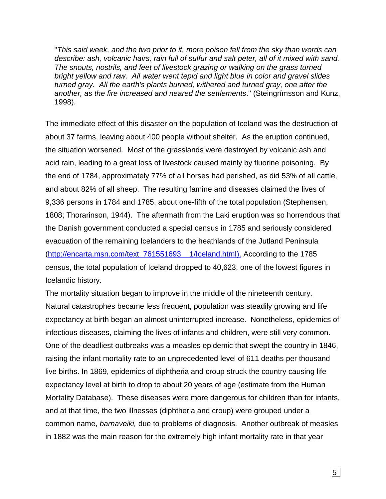"*This said week, and the two prior to it, more poison fell from the sky than words can describe: ash, volcanic hairs, rain full of sulfur and salt peter, all of it mixed with sand. The snouts, nostrils, and feet of livestock grazing or walking on the grass turned bright yellow and raw. All water went tepid and light blue in color and gravel slides turned gray. All the earth's plants burned, withered and turned gray, one after the another, as the fire increased and neared the settlements*." (Steingrímsson and Kunz, 1998).

The immediate effect of this disaster on the population of Iceland was the destruction of about 37 farms, leaving about 400 people without shelter. As the eruption continued, the situation worsened. Most of the grasslands were destroyed by volcanic ash and acid rain, leading to a great loss of livestock caused mainly by fluorine poisoning. By the end of 1784, approximately 77% of all horses had perished, as did 53% of all cattle, and about 82% of all sheep. The resulting famine and diseases claimed the lives of 9,336 persons in 1784 and 1785, about one-fifth of the total population (Stephensen, 1808; Thorarinson, 1944). The aftermath from the Laki eruption was so horrendous that the Danish government conducted a special census in 1785 and seriously considered evacuation of the remaining Icelanders to the heathlands of the Jutland Peninsula [\(http://encarta.msn.com/text\\_761551693\\_\\_1/Iceland.html\)](http://encarta.msn.com/text_761551693__1/Iceland.html). According to the 1785 census, the total population of Iceland dropped to 40,623, one of the lowest figures in Icelandic history.

The mortality situation began to improve in the middle of the nineteenth century. Natural catastrophes became less frequent, population was steadily growing and life expectancy at birth began an almost uninterrupted increase. Nonetheless, epidemics of infectious diseases, claiming the lives of infants and children, were still very common. One of the deadliest outbreaks was a measles epidemic that swept the country in 1846, raising the infant mortality rate to an unprecedented level of 611 deaths per thousand live births. In 1869, epidemics of diphtheria and croup struck the country causing life expectancy level at birth to drop to about 20 years of age (estimate from the Human Mortality Database). These diseases were more dangerous for children than for infants, and at that time, the two illnesses (diphtheria and croup) were grouped under a common name, *barnaveiki,* due to problems of diagnosis. Another outbreak of measles in 1882 was the main reason for the extremely high infant mortality rate in that year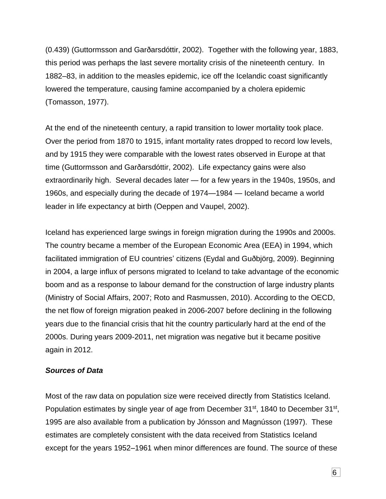(0.439) (Guttormsson and Garðarsdóttir, 2002). Together with the following year, 1883, this period was perhaps the last severe mortality crisis of the nineteenth century. In 1882–83, in addition to the measles epidemic, ice off the Icelandic coast significantly lowered the temperature, causing famine accompanied by a cholera epidemic (Tomasson, 1977).

At the end of the nineteenth century, a rapid transition to lower mortality took place. Over the period from 1870 to 1915, infant mortality rates dropped to record low levels, and by 1915 they were comparable with the lowest rates observed in Europe at that time (Guttormsson and Garðarsdóttir, 2002). Life expectancy gains were also extraordinarily high. Several decades later — for a few years in the 1940s, 1950s, and 1960s, and especially during the decade of 1974—1984 — Iceland became a world leader in life expectancy at birth (Oeppen and Vaupel, 2002).

Iceland has experienced large swings in foreign migration during the 1990s and 2000s. The country became a member of the European Economic Area (EEA) in 1994, which facilitated immigration of EU countries' citizens (Eydal and Guðbjörg, 2009). Beginning in 2004, a large influx of persons migrated to Iceland to take advantage of the economic boom and as a response to labour demand for the construction of large industry plants (Ministry of Social Affairs, 2007; Roto and Rasmussen, 2010). According to the OECD, the net flow of foreign migration peaked in 2006-2007 before declining in the following years due to the financial crisis that hit the country particularly hard at the end of the 2000s. During years 2009-2011, net migration was negative but it became positive again in 2012.

#### *Sources of Data*

Most of the raw data on population size were received directly from Statistics Iceland. Population estimates by single year of age from December 31<sup>st</sup>, 1840 to December 31<sup>st</sup>, 1995 are also available from a publication by Jónsson and Magnússon (1997). These estimates are completely consistent with the data received from Statistics Iceland except for the years 1952–1961 when minor differences are found. The source of these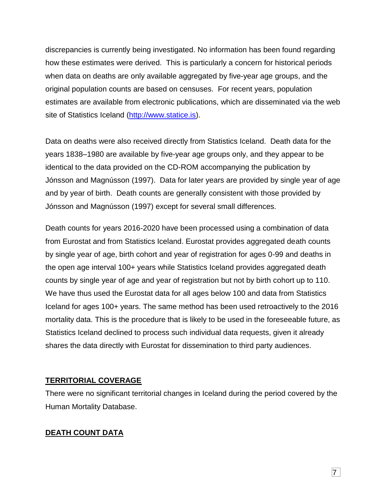discrepancies is currently being investigated. No information has been found regarding how these estimates were derived. This is particularly a concern for historical periods when data on deaths are only available aggregated by five-year age groups, and the original population counts are based on censuses. For recent years, population estimates are available from electronic publications, which are disseminated via the web site of Statistics Iceland [\(http://www.statice.is\)](http://www.statice.is/).

Data on deaths were also received directly from Statistics Iceland. Death data for the years 1838–1980 are available by five-year age groups only, and they appear to be identical to the data provided on the CD-ROM accompanying the publication by Jónsson and Magnússon (1997). Data for later years are provided by single year of age and by year of birth. Death counts are generally consistent with those provided by Jónsson and Magnússon (1997) except for several small differences.

Death counts for years 2016-2020 have been processed using a combination of data from Eurostat and from Statistics Iceland. Eurostat provides aggregated death counts by single year of age, birth cohort and year of registration for ages 0-99 and deaths in the open age interval 100+ years while Statistics Iceland provides aggregated death counts by single year of age and year of registration but not by birth cohort up to 110. We have thus used the Eurostat data for all ages below 100 and data from Statistics Iceland for ages 100+ years. The same method has been used retroactively to the 2016 mortality data. This is the procedure that is likely to be used in the foreseeable future, as Statistics Iceland declined to process such individual data requests, given it already shares the data directly with Eurostat for dissemination to third party audiences.

### **TERRITORIAL COVERAGE**

There were no significant territorial changes in Iceland during the period covered by the Human Mortality Database.

## **DEATH COUNT DATA**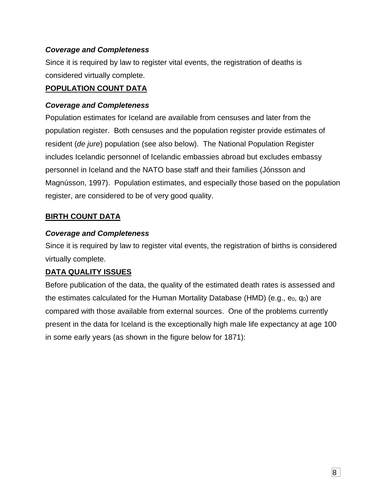### *Coverage and Completeness*

Since it is required by law to register vital events, the registration of deaths is considered virtually complete.

### **POPULATION COUNT DATA**

### *Coverage and Completeness*

Population estimates for Iceland are available from censuses and later from the population register. Both censuses and the population register provide estimates of resident (*de jure*) population (see also below). The National Population Register includes Icelandic personnel of Icelandic embassies abroad but excludes embassy personnel in Iceland and the NATO base staff and their families (Jónsson and Magnússon, 1997). Population estimates, and especially those based on the population register, are considered to be of very good quality.

## **BIRTH COUNT DATA**

## *Coverage and Completeness*

Since it is required by law to register vital events, the registration of births is considered virtually complete.

## **DATA QUALITY ISSUES**

Before publication of the data, the quality of the estimated death rates is assessed and the estimates calculated for the Human Mortality Database (HMD) (e.g.,  $e_0$ ,  $q_0$ ) are compared with those available from external sources. One of the problems currently present in the data for Iceland is the exceptionally high male life expectancy at age 100 in some early years (as shown in the figure below for 1871):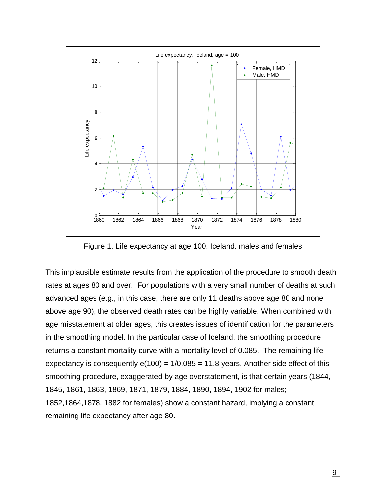

Figure 1. Life expectancy at age 100, Iceland, males and females

This implausible estimate results from the application of the procedure to smooth death rates at ages 80 and over. For populations with a very small number of deaths at such advanced ages (e.g., in this case, there are only 11 deaths above age 80 and none above age 90), the observed death rates can be highly variable. When combined with age misstatement at older ages, this creates issues of identification for the parameters in the smoothing model. In the particular case of Iceland, the smoothing procedure returns a constant mortality curve with a mortality level of 0.085. The remaining life expectancy is consequently  $e(100) = 1/0.085 = 11.8$  years. Another side effect of this smoothing procedure, exaggerated by age overstatement, is that certain years (1844, 1845, 1861, 1863, 1869, 1871, 1879, 1884, 1890, 1894, 1902 for males; 1852,1864,1878, 1882 for females) show a constant hazard, implying a constant remaining life expectancy after age 80.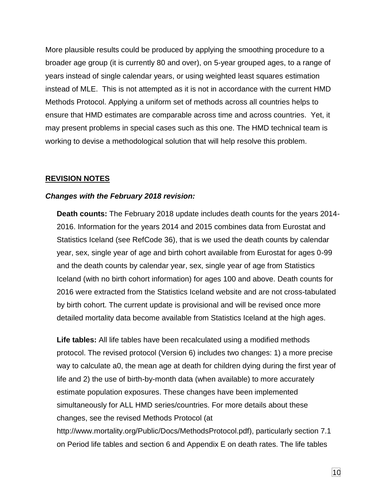More plausible results could be produced by applying the smoothing procedure to a broader age group (it is currently 80 and over), on 5-year grouped ages, to a range of years instead of single calendar years, or using weighted least squares estimation instead of MLE. This is not attempted as it is not in accordance with the current HMD Methods Protocol. Applying a uniform set of methods across all countries helps to ensure that HMD estimates are comparable across time and across countries. Yet, it may present problems in special cases such as this one. The HMD technical team is working to devise a methodological solution that will help resolve this problem.

#### **REVISION NOTES**

#### *Changes with the February 2018 revision:*

**Death counts:** The February 2018 update includes death counts for the years 2014- 2016. Information for the years 2014 and 2015 combines data from Eurostat and Statistics Iceland (see RefCode 36), that is we used the death counts by calendar year, sex, single year of age and birth cohort available from Eurostat for ages 0-99 and the death counts by calendar year, sex, single year of age from Statistics Iceland (with no birth cohort information) for ages 100 and above. Death counts for 2016 were extracted from the Statistics Iceland website and are not cross-tabulated by birth cohort. The current update is provisional and will be revised once more detailed mortality data become available from Statistics Iceland at the high ages.

**Life tables:** All life tables have been recalculated using a modified methods protocol. The revised protocol (Version 6) includes two changes: 1) a more precise way to calculate a0, the mean age at death for children dying during the first year of life and 2) the use of birth-by-month data (when available) to more accurately estimate population exposures. These changes have been implemented simultaneously for ALL HMD series/countries. For more details about these changes, see the revised Methods Protocol (at http://www.mortality.org/Public/Docs/MethodsProtocol.pdf), particularly section 7.1 on Period life tables and section 6 and Appendix E on death rates. The life tables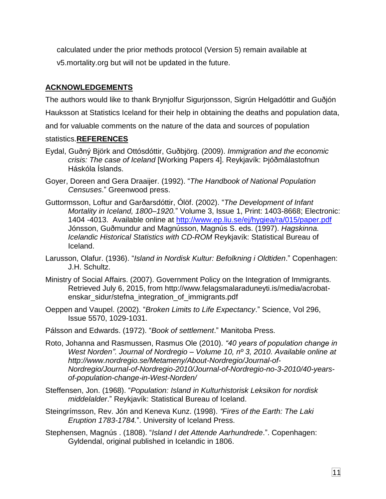calculated under the prior methods protocol (Version 5) remain available at v5.mortality.org but will not be updated in the future.

### **ACKNOWLEDGEMENTS**

The authors would like to thank Brynjolfur Sigurjonsson, Sigrún Helgadóttir and Guðjón Hauksson at Statistics Iceland for their help in obtaining the deaths and population data,

and for valuable comments on the nature of the data and sources of population

#### statistics.**REFERENCES**

- Eydal, Guðný Björk and Ottósdóttir, Guðbjörg. (2009). *Immigration and the economic crisis: The case of Iceland* [Working Papers 4]. Reykjavík: Þjóðmálastofnun Háskóla Íslands.
- Goyer, Doreen and Gera Draaijer. (1992). "*The Handbook of National Population Censuses*." Greenwood press.
- Guttormsson, Loftur and Garðarsdóttir, Ólöf. (2002). "*The Development of Infant Mortality in Iceland, 1800–1920.*" Volume 3, Issue 1, Print: 1403-8668; Electronic: 1404 -4013. Available online at <http://www.ep.liu.se/ej/hygiea/ra/015/paper.pdf> Jónsson, Guðmundur and Magnússon, Magnús S. eds. (1997). *Hagskinna. Icelandic Historical Statistics with CD-ROM* Reykjavík: Statistical Bureau of Iceland.
- Larusson, Olafur. (1936). "*Island in Nordisk Kultur: Befolkning i Oldtiden*." Copenhagen: J.H. Schultz.
- Ministry of Social Affairs. (2007). Government Policy on the Integration of Immigrants. Retrieved July 6, 2015, from http://www.felagsmalaraduneyti.is/media/acrobatenskar\_sidur/stefna\_integration\_of\_immigrants.pdf
- Oeppen and Vaupel. (2002). "*Broken Limits to Life Expectancy*." Science, Vol 296, Issue 5570, 1029-1031.
- Pálsson and Edwards. (1972). "*Book of settlement*." Manitoba Press.
- Roto, Johanna and Rasmussen, Rasmus Ole (2010). *"40 years of population change in West Norden". Journal of Nordregio – Volume 10, nº 3, 2010. Available online at http://www.nordregio.se/Metameny/About-Nordregio/Journal-of-Nordregio/Journal-of-Nordregio-2010/Journal-of-Nordregio-no-3-2010/40-yearsof-population-change-in-West-Norden/*
- Steffensen, Jon. (1968). "*Population: Island in Kulturhistorisk Leksikon for nordisk middelalder*." Reykjavík: Statistical Bureau of Iceland.
- Steingrímsson, Rev. Jón and Keneva Kunz. (1998). *"Fires of the Earth: The Laki Eruption 1783-1784.*". University of Iceland Press.
- Stephensen, Magnús . (1808). "*Island I det Attende Aarhundrede*.". Copenhagen: Gyldendal, original published in Icelandic in 1806.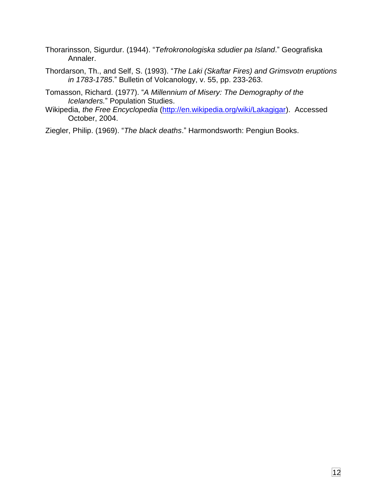- Thorarinsson, Sigurdur. (1944). "*Tefrokronologiska sdudier pa Island*." Geografiska Annaler.
- Thordarson, Th., and Self, S. (1993). "*The Laki (Skaftar Fires) and Grimsvotn eruptions in 1783-1785*." Bulletin of Volcanology, v. 55, pp. 233-263.
- Tomasson, Richard. (1977). "*A Millennium of Misery: The Demography of the Icelanders.*" Population Studies.
- Wikipedia, *the Free Encyclopedia* [\(http://en.wikipedia.org/wiki/Lakagigar\)](http://en.wikipedia.org/wiki/Lakagigar). Accessed October, 2004.
- Ziegler, Philip. (1969). "*The black deaths*." Harmondsworth: Pengiun Books.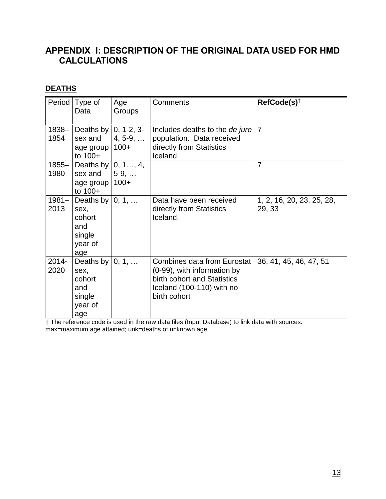## **APPENDIX I: DESCRIPTION OF THE ORIGINAL DATA USED FOR HMD CALCULATIONS**

## **DEATHS**

|                  | Period   Type of<br>Data                                            | Age<br>Groups           | Comments                                                                                                                                      | $RefCode(s)^{+}$                    |
|------------------|---------------------------------------------------------------------|-------------------------|-----------------------------------------------------------------------------------------------------------------------------------------------|-------------------------------------|
| $1838 -$<br>1854 | Deaths by $ 0, 1-2, 3-$<br>sex and<br>age group   100+<br>to $100+$ | $4, 5-9, $              | Includes deaths to the de jure<br>population. Data received<br>directly from Statistics<br>Iceland.                                           | $\overline{7}$                      |
| $1855 -$<br>1980 | Deaths by $ 0, 1, , 4$ ,<br>sex and<br>age group<br>to 100+         | $5-9, \ldots$<br>$100+$ |                                                                                                                                               | $\overline{7}$                      |
| $1981 -$<br>2013 | Deaths by<br>sex,<br>cohort<br>and<br>single<br>year of<br>age      | 0, 1,                   | Data have been received<br>directly from Statistics<br>Iceland.                                                                               | 1, 2, 16, 20, 23, 25, 28,<br>29, 33 |
| 2014-<br>2020    | Deaths by<br>sex,<br>cohort<br>and<br>single<br>year of<br>age      | 0, 1,                   | <b>Combines data from Eurostat</b><br>(0-99), with information by<br>birth cohort and Statistics<br>Iceland (100-110) with no<br>birth cohort | 36, 41, 45, 46, 47, 51              |

† The reference code is used in the raw data files (Input Database) to link data with sources. max=maximum age attained; unk=deaths of unknown age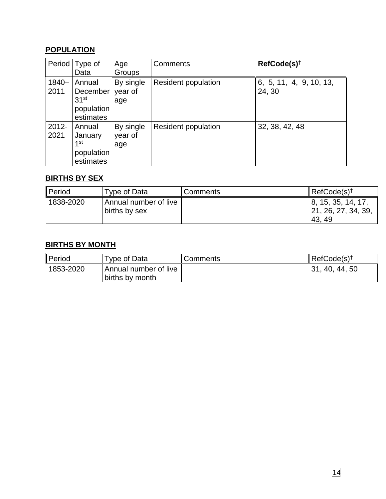## **POPULATION**

| Period   | Type of<br>Data  | Age       | Comments                   | $RefCode(s)^{+}$        |
|----------|------------------|-----------|----------------------------|-------------------------|
|          |                  | Groups    |                            |                         |
| $1840 -$ | Annual           | By single | <b>Resident population</b> | 6, 5, 11, 4, 9, 10, 13, |
| 2011     | December         | year of   |                            | 24, 30                  |
|          | 31 <sup>st</sup> | age       |                            |                         |
|          | population       |           |                            |                         |
|          | estimates        |           |                            |                         |
| 2012-    | Annual           | By single | <b>Resident population</b> | 32, 38, 42, 48          |
| 2021     | January          | year of   |                            |                         |
|          | 1st              | age       |                            |                         |
|          | population       |           |                            |                         |
|          | estimates        |           |                            |                         |

## **BIRTHS BY SEX**

| Period    | Type of Data                           | Comments | $RefCode(s)^{\dagger}$                                |
|-----------|----------------------------------------|----------|-------------------------------------------------------|
| 1838-2020 | Annual number of live<br>births by sex |          | 8, 15, 35, 14, 17,<br>  21, 26, 27, 34, 39,<br>43, 49 |

### **BIRTHS BY MONTH**

| Period    | Type of Data                 | Comments | $\ $ RefCode(s) <sup>†</sup> |
|-----------|------------------------------|----------|------------------------------|
| 1853-2020 | <b>Annual number of live</b> |          | 131, 40, 44, 50              |
|           | births by month              |          |                              |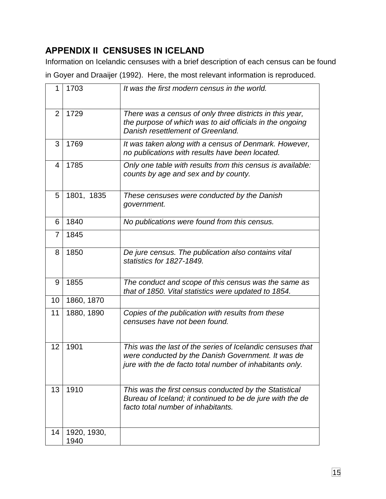# **APPENDIX II CENSUSES IN ICELAND**

Information on Icelandic censuses with a brief description of each census can be found in Goyer and Draaijer (1992). Here, the most relevant information is reproduced.

| 1              | 1703                | It was the first modern census in the world.                                                                                                                                 |
|----------------|---------------------|------------------------------------------------------------------------------------------------------------------------------------------------------------------------------|
| $\overline{2}$ | 1729                | There was a census of only three districts in this year,<br>the purpose of which was to aid officials in the ongoing<br>Danish resettlement of Greenland.                    |
| 3              | 1769                | It was taken along with a census of Denmark. However,<br>no publications with results have been located.                                                                     |
| 4              | 1785                | Only one table with results from this census is available:<br>counts by age and sex and by county.                                                                           |
| 5              | 1801, 1835          | These censuses were conducted by the Danish<br>government.                                                                                                                   |
| 6              | 1840                | No publications were found from this census.                                                                                                                                 |
| $\overline{7}$ | 1845                |                                                                                                                                                                              |
| 8              | 1850                | De jure census. The publication also contains vital<br>statistics for 1827-1849.                                                                                             |
| 9              | 1855                | The conduct and scope of this census was the same as<br>that of 1850. Vital statistics were updated to 1854.                                                                 |
| 10             | 1860, 1870          |                                                                                                                                                                              |
| 11             | 1880, 1890          | Copies of the publication with results from these<br>censuses have not been found.                                                                                           |
| 12             | 1901                | This was the last of the series of Icelandic censuses that<br>were conducted by the Danish Government. It was de<br>jure with the de facto total number of inhabitants only. |
| 13             | 1910                | This was the first census conducted by the Statistical<br>Bureau of Iceland; it continued to be de jure with the de<br>facto total number of inhabitants.                    |
| 14             | 1920, 1930,<br>1940 |                                                                                                                                                                              |